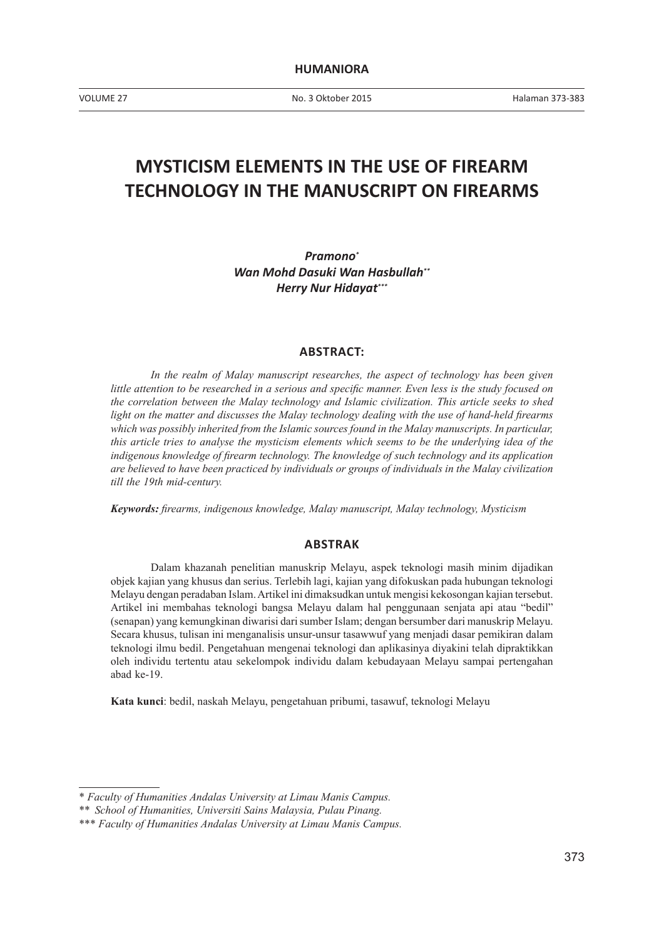VOLUME 27 No. 3 Oktober 2015

# **MYSTICISM ELEMENTS IN THE USE OF FIREARM TECHNOLOGY IN THE MANUSCRIPT ON FIREARMS**

*Pramono\* Wan Mohd Dasuki Wan Hasbullah\*\* Herry Nur Hidayat\*\*\**

#### **ABSTRACT:**

In the realm of Malay manuscript researches, the aspect of technology has been given *little attention to be researched in a serious and specific manner. Even less is the study focused on the correlation between the Malay technology and Islamic civilization. This article seeks to shed light on the matter and discusses the Malay technology dealing with the use of hand-held firearms which was possibly inherited from the Islamic sources found in the Malay manuscripts. In particular, this article tries to analyse the mysticism elements which seems to be the underlying idea of the indigenous knowledge of firearm technology. The knowledge of such technology and its application are believed to have been practiced by individuals or groups of individuals in the Malay civilization till the 19th mid-century.* 

*Keywords: firearms, indigenous knowledge, Malay manuscript, Malay technology, Mysticism*

#### **ABSTRAK**

Dalam khazanah penelitian manuskrip Melayu, aspek teknologi masih minim dijadikan objek kajian yang khusus dan serius. Terlebih lagi, kajian yang difokuskan pada hubungan teknologi Melayu dengan peradaban Islam. Artikel ini dimaksudkan untuk mengisi kekosongan kajian tersebut. Artikel ini membahas teknologi bangsa Melayu dalam hal penggunaan senjata api atau "bedil" (senapan) yang kemungkinan diwarisi dari sumber Islam; dengan bersumber dari manuskrip Melayu. Secara khusus, tulisan ini menganalisis unsur-unsur tasawwuf yang menjadi dasar pemikiran dalam teknologi ilmu bedil. Pengetahuan mengenai teknologi dan aplikasinya diyakini telah dipraktikkan oleh individu tertentu atau sekelompok individu dalam kebudayaan Melayu sampai pertengahan abad ke-19.

**Kata kunci**: bedil, naskah Melayu, pengetahuan pribumi, tasawuf, teknologi Melayu

<sup>\*</sup> *Faculty of Humanities Andalas University at Limau Manis Campus.*

<sup>\*\*</sup> *School of Humanities, Universiti Sains Malaysia, Pulau Pinang.* 

<sup>\*\*\*</sup> *Faculty of Humanities Andalas University at Limau Manis Campus.*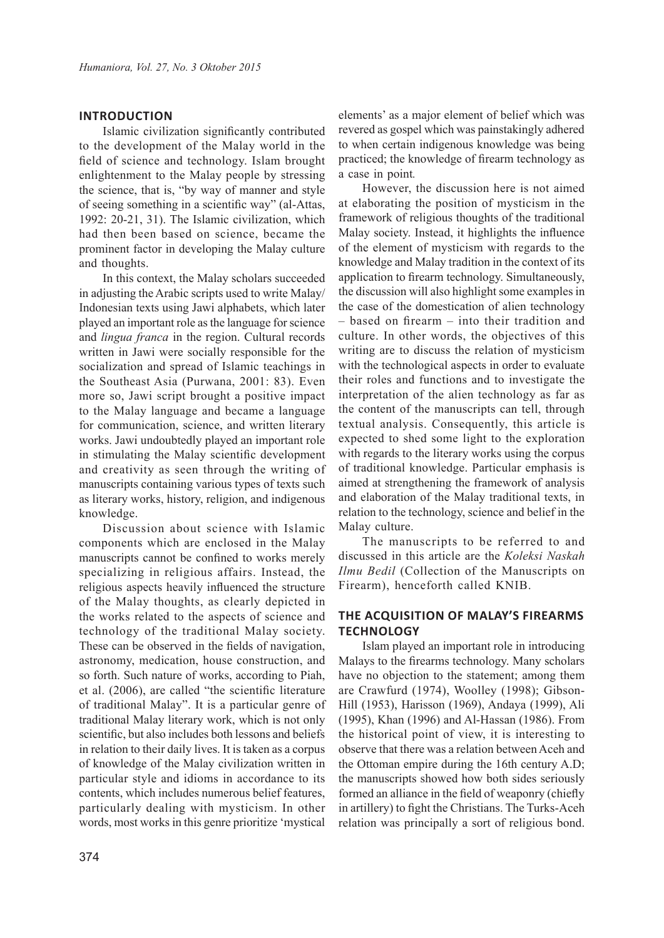### **INTRODUCTION**

Islamic civilization significantly contributed to the development of the Malay world in the field of science and technology. Islam brought enlightenment to the Malay people by stressing the science, that is, "by way of manner and style of seeing something in a scientific way" (al-Attas, 1992: 20-21, 31). The Islamic civilization, which had then been based on science, became the prominent factor in developing the Malay culture and thoughts.

In this context, the Malay scholars succeeded in adjusting the Arabic scripts used to write Malay/ Indonesian texts using Jawi alphabets, which later played an important role as the language for science and *lingua franca* in the region. Cultural records written in Jawi were socially responsible for the socialization and spread of Islamic teachings in the Southeast Asia (Purwana, 2001: 83). Even more so, Jawi script brought a positive impact to the Malay language and became a language for communication, science, and written literary works. Jawi undoubtedly played an important role in stimulating the Malay scientific development and creativity as seen through the writing of manuscripts containing various types of texts such as literary works, history, religion, and indigenous knowledge.

Discussion about science with Islamic components which are enclosed in the Malay manuscripts cannot be confined to works merely specializing in religious affairs. Instead, the religious aspects heavily influenced the structure of the Malay thoughts, as clearly depicted in the works related to the aspects of science and technology of the traditional Malay society. These can be observed in the fields of navigation, astronomy, medication, house construction, and so forth. Such nature of works, according to Piah, et al. (2006), are called "the scientific literature of traditional Malay". It is a particular genre of traditional Malay literary work, which is not only scientific, but also includes both lessons and beliefs in relation to their daily lives. It is taken as a corpus of knowledge of the Malay civilization written in particular style and idioms in accordance to its contents, which includes numerous belief features, particularly dealing with mysticism. In other words, most works in this genre prioritize 'mystical

elements' as a major element of belief which was revered as gospel which was painstakingly adhered to when certain indigenous knowledge was being practiced; the knowledge of firearm technology as a case in point*.* 

However, the discussion here is not aimed at elaborating the position of mysticism in the framework of religious thoughts of the traditional Malay society. Instead, it highlights the influence of the element of mysticism with regards to the knowledge and Malay tradition in the context of its application to firearm technology. Simultaneously, the discussion will also highlight some examples in the case of the domestication of alien technology – based on firearm – into their tradition and culture. In other words, the objectives of this writing are to discuss the relation of mysticism with the technological aspects in order to evaluate their roles and functions and to investigate the interpretation of the alien technology as far as the content of the manuscripts can tell, through textual analysis. Consequently, this article is expected to shed some light to the exploration with regards to the literary works using the corpus of traditional knowledge. Particular emphasis is aimed at strengthening the framework of analysis and elaboration of the Malay traditional texts, in relation to the technology, science and belief in the Malay culture.

The manuscripts to be referred to and discussed in this article are the *Koleksi Naskah Ilmu Bedil* (Collection of the Manuscripts on Firearm), henceforth called KNIB.

# **THE ACQUISITION OF MALAY'S FIREARMS TECHNOLOGY**

Islam played an important role in introducing Malays to the firearms technology. Many scholars have no objection to the statement; among them are Crawfurd (1974), Woolley (1998); Gibson-Hill (1953), Harisson (1969), Andaya (1999), Ali (1995), Khan (1996) and Al-Hassan (1986). From the historical point of view, it is interesting to observe that there was a relation between Aceh and the Ottoman empire during the 16th century A.D; the manuscripts showed how both sides seriously formed an alliance in the field of weaponry (chiefly in artillery) to fight the Christians. The Turks-Aceh relation was principally a sort of religious bond.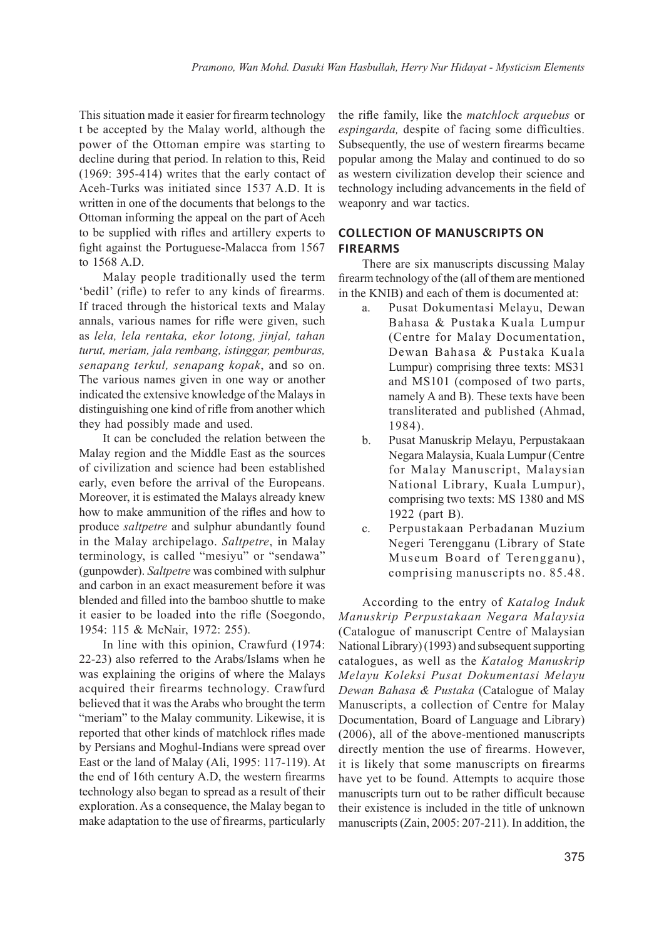This situation made it easier for firearm technology t be accepted by the Malay world, although the power of the Ottoman empire was starting to decline during that period. In relation to this, Reid (1969: 395-414) writes that the early contact of Aceh-Turks was initiated since 1537 A.D. It is written in one of the documents that belongs to the Ottoman informing the appeal on the part of Aceh to be supplied with rifles and artillery experts to fight against the Portuguese-Malacca from 1567 to 1568 A.D.

Malay people traditionally used the term 'bedil' (rifle) to refer to any kinds of firearms. If traced through the historical texts and Malay annals, various names for rifle were given, such as *lela, lela rentaka, ekor lotong, jinjal, tahan turut, meriam, jala rembang, istinggar, pemburas, senapang terkul, senapang kopak*, and so on. The various names given in one way or another indicated the extensive knowledge of the Malays in distinguishing one kind of rifle from another which they had possibly made and used.

It can be concluded the relation between the Malay region and the Middle East as the sources of civilization and science had been established early, even before the arrival of the Europeans. Moreover, it is estimated the Malays already knew how to make ammunition of the rifles and how to produce *saltpetre* and sulphur abundantly found in the Malay archipelago. *Saltpetre*, in Malay terminology, is called "mesiyu" or "sendawa" (gunpowder). *Saltpetre* was combined with sulphur and carbon in an exact measurement before it was blended and filled into the bamboo shuttle to make it easier to be loaded into the rifle (Soegondo, 1954: 115 & McNair, 1972: 255).

In line with this opinion, Crawfurd (1974: 22-23) also referred to the Arabs/Islams when he was explaining the origins of where the Malays acquired their firearms technology. Crawfurd believed that it was the Arabs who brought the term "meriam" to the Malay community. Likewise, it is reported that other kinds of matchlock rifles made by Persians and Moghul-Indians were spread over East or the land of Malay (Ali, 1995: 117-119). At the end of 16th century A.D, the western firearms technology also began to spread as a result of their exploration. As a consequence, the Malay began to make adaptation to the use of firearms, particularly

the rifle family, like the *matchlock arquebus* or *espingarda,* despite of facing some difficulties. Subsequently, the use of western firearms became popular among the Malay and continued to do so as western civilization develop their science and technology including advancements in the field of weaponry and war tactics.

# **COLLECTION OF MANUSCRIPTS ON FIREARMS**

There are six manuscripts discussing Malay firearm technology of the (all of them are mentioned in the KNIB) and each of them is documented at:

- a. Pusat Dokumentasi Melayu, Dewan Bahasa & Pustaka Kuala Lumpur (Centre for Malay Documentation, Dewan Bahasa & Pustaka Kuala Lumpur) comprising three texts: MS31 and MS101 (composed of two parts, namely A and B). These texts have been transliterated and published (Ahmad, 1984).
- b. Pusat Manuskrip Melayu, Perpustakaan Negara Malaysia, Kuala Lumpur (Centre for Malay Manuscript, Malaysian National Library, Kuala Lumpur), comprising two texts: MS 1380 and MS 1922 (part B).
- c. Perpustakaan Perbadanan Muzium Negeri Terengganu (Library of State Museum Board of Terengganu), comprising manuscripts no. 85.48.

According to the entry of *Katalog Induk Manuskrip Perpustakaan Negara Malaysia* (Catalogue of manuscript Centre of Malaysian National Library) (1993) and subsequent supporting catalogues, as well as the *Katalog Manuskrip Melayu Koleksi Pusat Dokumentasi Melayu Dewan Bahasa & Pustaka* (Catalogue of Malay Manuscripts, a collection of Centre for Malay Documentation, Board of Language and Library) (2006), all of the above-mentioned manuscripts directly mention the use of firearms. However, it is likely that some manuscripts on firearms have yet to be found. Attempts to acquire those manuscripts turn out to be rather difficult because their existence is included in the title of unknown manuscripts (Zain, 2005: 207-211). In addition, the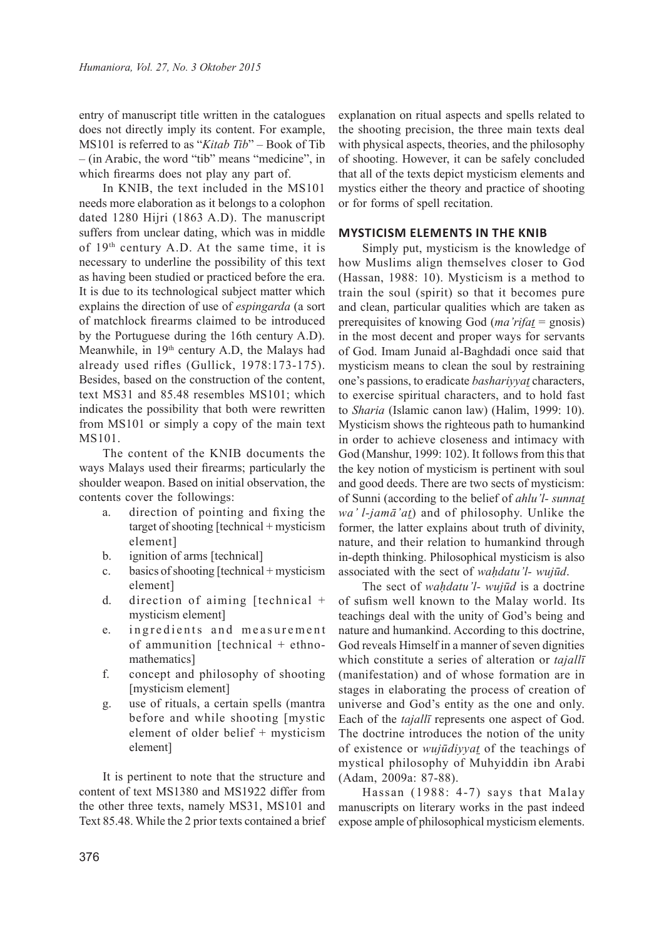entry of manuscript title written in the catalogues does not directly imply its content. For example, MS101 is referred to as "*Kitab Tib*" – Book of Tib – (in Arabic, the word "tib" means "medicine", in which firearms does not play any part of.

In KNIB, the text included in the MS101 needs more elaboration as it belongs to a colophon dated 1280 Hijri (1863 A.D). The manuscript suffers from unclear dating, which was in middle of 19th century A.D. At the same time, it is necessary to underline the possibility of this text as having been studied or practiced before the era. It is due to its technological subject matter which explains the direction of use of *espingarda* (a sort of matchlock firearms claimed to be introduced by the Portuguese during the 16th century A.D). Meanwhile, in 19th century A.D, the Malays had already used rifles (Gullick, 1978:173-175). Besides, based on the construction of the content, text MS31 and 85.48 resembles MS101; which indicates the possibility that both were rewritten from MS101 or simply a copy of the main text MS101.

The content of the KNIB documents the ways Malays used their firearms; particularly the shoulder weapon. Based on initial observation, the contents cover the followings:

- a. direction of pointing and fixing the target of shooting [technical + mysticism element]
- b. ignition of arms [technical]
- c. basics of shooting [technical + mysticism element]
- d. direction of aiming [technical + mysticism element]
- e. ingredients and measurement of ammunition [technical + ethnomathematics]
- f. concept and philosophy of shooting [mysticism element]
- g. use of rituals, a certain spells (mantra before and while shooting [mystic element of older belief + mysticism element]

It is pertinent to note that the structure and content of text MS1380 and MS1922 differ from the other three texts, namely MS31, MS101 and Text 85.48. While the 2 prior texts contained a brief explanation on ritual aspects and spells related to the shooting precision, the three main texts deal with physical aspects, theories, and the philosophy of shooting. However, it can be safely concluded that all of the texts depict mysticism elements and mystics either the theory and practice of shooting or for forms of spell recitation.

#### **MYSTICISM ELEMENTS IN THE KNIB**

Simply put, mysticism is the knowledge of how Muslims align themselves closer to God (Hassan, 1988: 10). Mysticism is a method to train the soul (spirit) so that it becomes pure and clean, particular qualities which are taken as prerequisites of knowing God (*ma'rifat* = gnosis) in the most decent and proper ways for servants of God. Imam Junaid al-Baghdadi once said that mysticism means to clean the soul by restraining one's passions, to eradicate *bashariyyat* characters, to exercise spiritual characters, and to hold fast to *Sharia* (Islamic canon law) (Halim, 1999: 10). Mysticism shows the righteous path to humankind in order to achieve closeness and intimacy with God (Manshur, 1999: 102). It follows from this that the key notion of mysticism is pertinent with soul and good deeds. There are two sects of mysticism: of Sunni (according to the belief of *ahlu'l- sunnat wa' l-jamā'at*) and of philosophy. Unlike the former, the latter explains about truth of divinity, nature, and their relation to humankind through in-depth thinking. Philosophical mysticism is also associated with the sect of *wahdatu'l- wujūd*.

The sect of *waḥdatu'l- wujūd* is a doctrine of sufism well known to the Malay world. Its teachings deal with the unity of God's being and nature and humankind. According to this doctrine, God reveals Himself in a manner of seven dignities which constitute a series of alteration or *tajallī* (manifestation) and of whose formation are in stages in elaborating the process of creation of universe and God's entity as the one and only. Each of the *tajallī* represents one aspect of God. The doctrine introduces the notion of the unity of existence or *wujūdiyyat* of the teachings of mystical philosophy of Muhyiddin ibn Arabi (Adam, 2009a: 87-88).

Hassan (1988: 4-7) says that Malay manuscripts on literary works in the past indeed expose ample of philosophical mysticism elements.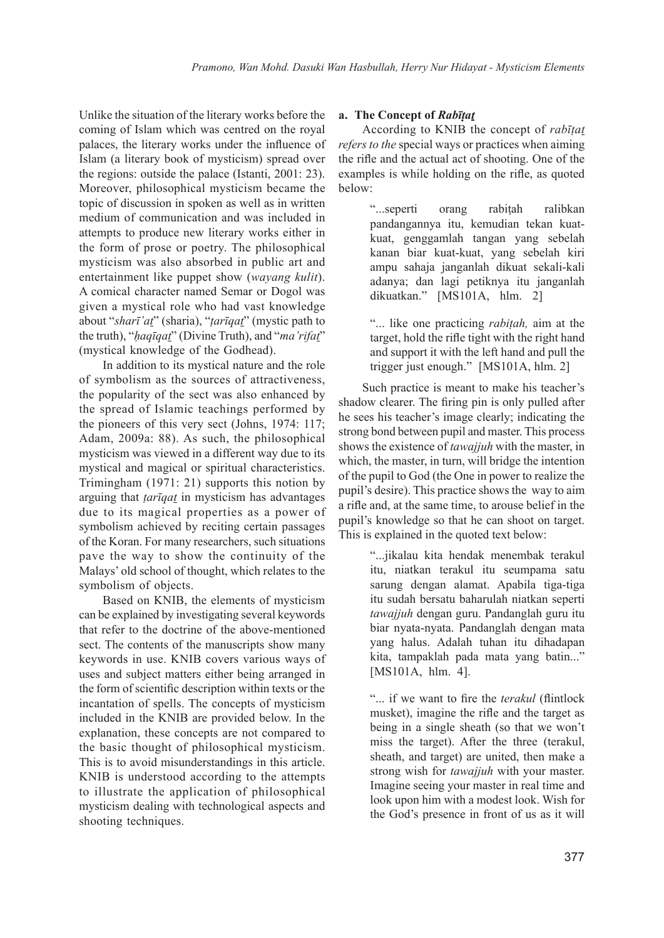Unlike the situation of the literary works before the coming of Islam which was centred on the royal palaces, the literary works under the influence of Islam (a literary book of mysticism) spread over the regions: outside the palace (Istanti, 2001: 23). Moreover, philosophical mysticism became the topic of discussion in spoken as well as in written medium of communication and was included in attempts to produce new literary works either in the form of prose or poetry. The philosophical mysticism was also absorbed in public art and entertainment like puppet show (*wayang kulit*). A comical character named Semar or Dogol was given a mystical role who had vast knowledge about "*sharī'at*" (sharia), "*ṭarīqat*" (mystic path to the truth), "*ḥaqīqat*" (Divine Truth), and "*ma'rifat*" (mystical knowledge of the Godhead).

In addition to its mystical nature and the role of symbolism as the sources of attractiveness, the popularity of the sect was also enhanced by the spread of Islamic teachings performed by the pioneers of this very sect (Johns, 1974: 117; Adam, 2009a: 88). As such, the philosophical mysticism was viewed in a different way due to its mystical and magical or spiritual characteristics. Trimingham (1971: 21) supports this notion by arguing that *ṭarīqat* in mysticism has advantages due to its magical properties as a power of symbolism achieved by reciting certain passages of the Koran. For many researchers, such situations pave the way to show the continuity of the Malays' old school of thought, which relates to the symbolism of objects.

Based on KNIB, the elements of mysticism can be explained by investigating several keywords that refer to the doctrine of the above-mentioned sect. The contents of the manuscripts show many keywords in use. KNIB covers various ways of uses and subject matters either being arranged in the form of scientific description within texts or the incantation of spells. The concepts of mysticism included in the KNIB are provided below. In the explanation, these concepts are not compared to the basic thought of philosophical mysticism. This is to avoid misunderstandings in this article. KNIB is understood according to the attempts to illustrate the application of philosophical mysticism dealing with technological aspects and shooting techniques.

# **a. The Concept of** *Rabīṭat*

According to KNIB the concept of *rabīṭat refers to the* special ways or practices when aiming the rifle and the actual act of shooting. One of the examples is while holding on the rifle, as quoted below:

> "...seperti orang rabitah ralibkan pandangannya itu, kemudian tekan kuatkuat, genggamlah tangan yang sebelah kanan biar kuat-kuat, yang sebelah kiri ampu sahaja janganlah dikuat sekali-kali adanya; dan lagi petiknya itu janganlah dikuatkan." [MS101A, hlm. 2]

> "... like one practicing *rabiṭah,* aim at the target, hold the rifle tight with the right hand and support it with the left hand and pull the trigger just enough."[MS101A, hlm. 2]

Such practice is meant to make his teacher's shadow clearer. The firing pin is only pulled after he sees his teacher's image clearly; indicating the strong bond between pupil and master. This process shows the existence of *tawajjuh* with the master, in which, the master, in turn, will bridge the intention of the pupil to God (the One in power to realize the pupil's desire). This practice shows the way to aim a rifle and, at the same time, to arouse belief in the pupil's knowledge so that he can shoot on target. This is explained in the quoted text below:

> "...jikalau kita hendak menembak terakul itu, niatkan terakul itu seumpama satu sarung dengan alamat. Apabila tiga-tiga itu sudah bersatu baharulah niatkan seperti *tawajjuh* dengan guru. Pandanglah guru itu biar nyata-nyata. Pandanglah dengan mata yang halus. Adalah tuhan itu dihadapan kita, tampaklah pada mata yang batin..." [MS101A, hlm. 4].

> "... if we want to fire the *terakul* (flintlock musket), imagine the rifle and the target as being in a single sheath (so that we won't miss the target). After the three (terakul, sheath, and target) are united, then make a strong wish for *tawajjuh* with your master. Imagine seeing your master in real time and look upon him with a modest look. Wish for the God's presence in front of us as it will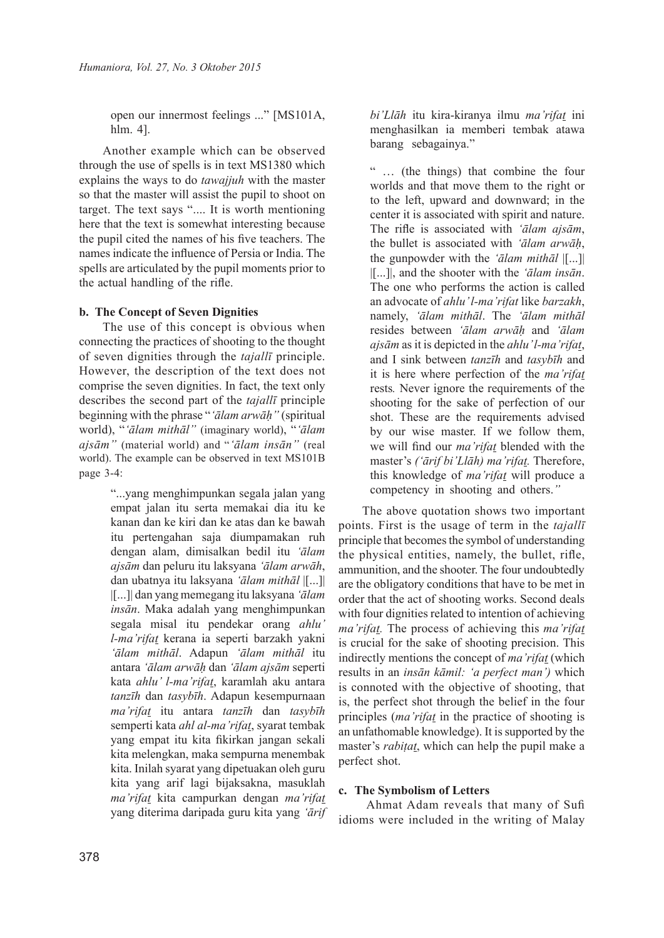open our innermost feelings ..." [MS101A, hlm. 4].

Another example which can be observed through the use of spells is in text MS1380 which explains the ways to do *tawajjuh* with the master so that the master will assist the pupil to shoot on target. The text says ".... It is worth mentioning here that the text is somewhat interesting because the pupil cited the names of his five teachers. The names indicate the influence of Persia or India. The spells are articulated by the pupil moments prior to the actual handling of the rifle.

# **b. The Concept of Seven Dignities**

The use of this concept is obvious when connecting the practices of shooting to the thought of seven dignities through the *tajallī* principle. However, the description of the text does not comprise the seven dignities. In fact, the text only describes the second part of the *tajallī* principle beginning with the phrase "*'ālam arwāḥ"* (spiritual world), "*'ālam mithāl"* (imaginary world), "*'ālam ajsām"* (material world) and "*'ālam insān"* (real world). The example can be observed in text MS101B page 3-4:

> "...yang menghimpunkan segala jalan yang empat jalan itu serta memakai dia itu ke kanan dan ke kiri dan ke atas dan ke bawah itu pertengahan saja diumpamakan ruh dengan alam, dimisalkan bedil itu *'ālam ajsām* dan peluru itu laksyana *'ālam arwāh*, dan ubatnya itu laksyana *'ālam mithāl* |[...]| |[...]| dan yang memegang itu laksyana *'ālam insān*. Maka adalah yang menghimpunkan segala misal itu pendekar orang *ahlu' l-ma'rifat* kerana ia seperti barzakh yakni *'ālam mithāl*. Adapun *'ālam mithāl* itu antara *'ālam arwāḥ* dan *'ālam ajsām* seperti kata *ahlu' l-ma'rifat*, karamlah aku antara *tanzīh* dan *tasybīh*. Adapun kesempurnaan *ma'rifat* itu antara *tanzīh* dan *tasybīh* semperti kata *ahl al-ma'rifat*, syarat tembak yang empat itu kita fikirkan jangan sekali kita melengkan, maka sempurna menembak kita. Inilah syarat yang dipetuakan oleh guru kita yang arif lagi bijaksakna, masuklah *ma'rifat* kita campurkan dengan *ma'rifat* yang diterima daripada guru kita yang *'ārif*

*bi'Llāh* itu kira-kiranya ilmu *ma'rifat* ini menghasilkan ia memberi tembak atawa barang sebagainya."

" … (the things) that combine the four worlds and that move them to the right or to the left, upward and downward; in the center it is associated with spirit and nature. The rifle is associated with *'ālam ajsām*, the bullet is associated with *'ālam arwāḥ*, the gunpowder with the *'ālam mithāl* |[...]| |[...]|, and the shooter with the *'ālam insān*. The one who performs the action is called an advocate of *ahlu' l-ma'rifat* like *barzakh*, namely, *'ālam mithāl*. The *'ālam mithāl* resides between *'ālam arwāḥ* and *'ālam ajsām* as it is depicted in the *ahlu' l-ma'rifat*, and I sink between *tanzīh* and *tasybīh* and it is here where perfection of the *ma'rifat*  rests*.* Never ignore the requirements of the shooting for the sake of perfection of our shot. These are the requirements advised by our wise master. If we follow them, we will find our *ma'rifat* blended with the master's *('ārif bi'Llāh) ma'rifat.* Therefore, this knowledge of *ma'rifat* will produce a competency in shooting and others.*"* 

The above quotation shows two important points. First is the usage of term in the *tajallī*  principle that becomes the symbol of understanding the physical entities, namely, the bullet, rifle, ammunition, and the shooter. The four undoubtedly are the obligatory conditions that have to be met in order that the act of shooting works. Second deals with four dignities related to intention of achieving *ma'rifat.* The process of achieving this *ma'rifat*  is crucial for the sake of shooting precision. This indirectly mentions the concept of *ma'rifat* (which results in an *insān kāmil: 'a perfect man')* which is connoted with the objective of shooting, that is, the perfect shot through the belief in the four principles (*ma'rifat* in the practice of shooting is an unfathomable knowledge). It is supported by the master's *rabiṭat*, which can help the pupil make a perfect shot.

# **c. The Symbolism of Letters**

 Ahmat Adam reveals that many of Sufi idioms were included in the writing of Malay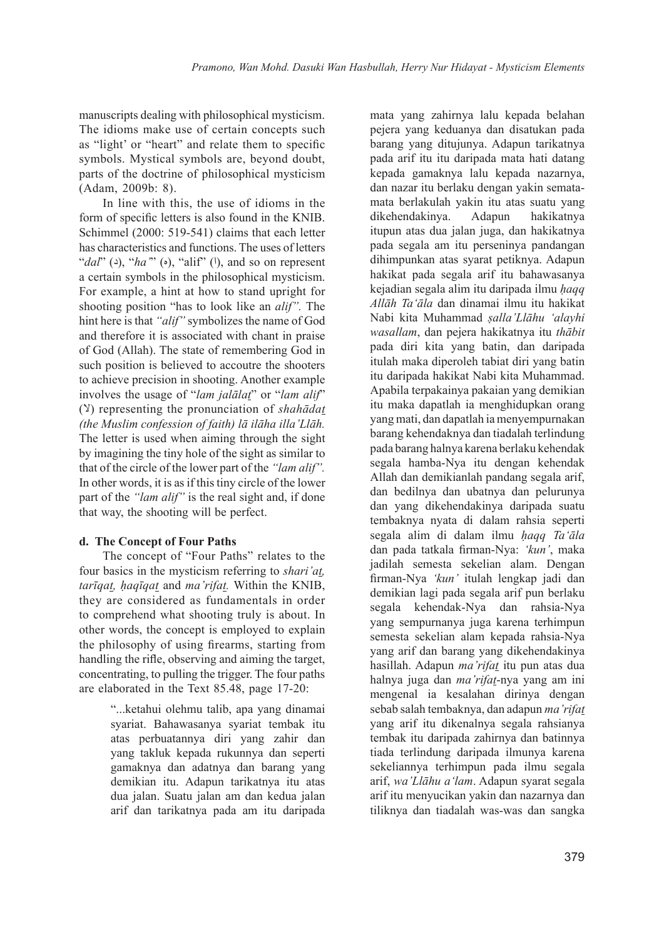manuscripts dealing with philosophical mysticism. The idioms make use of certain concepts such as "light' or "heart" and relate them to specific symbols. Mystical symbols are, beyond doubt, parts of the doctrine of philosophical mysticism (Adam, 2009b: 8).

In line with this, the use of idioms in the form of specific letters is also found in the KNIB. Schimmel (2000: 519-541) claims that each letter has characteristics and functions. The uses of letters " $d$ al<sup>"</sup> (2), "*ha*" (b), "alif" (!), and so on represent a certain symbols in the philosophical mysticism. For example, a hint at how to stand upright for shooting position "has to look like an *alif".* The hint here is that *"alif"* symbolizes the name of God and therefore it is associated with chant in praise of God (Allah). The state of remembering God in such position is believed to accoutre the shooters to achieve precision in shooting. Another example involves the usage of "*lam jalālat*" or "*lam alif*" (لا (representing the pronunciation of *shahādat (the Muslim confession of faith) lā ilāha illa'Llāh.*  The letter is used when aiming through the sight by imagining the tiny hole of the sight as similar to that of the circle of the lower part of the *"lam alif".*  In other words, it is as if this tiny circle of the lower part of the *"lam alif"* is the real sight and, if done that way, the shooting will be perfect.

### **d. The Concept of Four Paths**

The concept of "Four Paths" relates to the four basics in the mysticism referring to *shari'at, tarīqat, ḥaqīqat* and *ma'rifat.* Within the KNIB, they are considered as fundamentals in order to comprehend what shooting truly is about. In other words, the concept is employed to explain the philosophy of using firearms, starting from handling the rifle, observing and aiming the target, concentrating, to pulling the trigger. The four paths are elaborated in the Text 85.48, page 17-20:

> "...ketahui olehmu talib, apa yang dinamai syariat. Bahawasanya syariat tembak itu atas perbuatannya diri yang zahir dan yang takluk kepada rukunnya dan seperti gamaknya dan adatnya dan barang yang demikian itu. Adapun tarikatnya itu atas dua jalan. Suatu jalan am dan kedua jalan arif dan tarikatnya pada am itu daripada

mata yang zahirnya lalu kepada belahan pejera yang keduanya dan disatukan pada barang yang ditujunya. Adapun tarikatnya pada arif itu itu daripada mata hati datang kepada gamaknya lalu kepada nazarnya, dan nazar itu berlaku dengan yakin sematamata berlakulah yakin itu atas suatu yang dikehendakinya. Adapun hakikatnya itupun atas dua jalan juga, dan hakikatnya pada segala am itu perseninya pandangan dihimpunkan atas syarat petiknya. Adapun hakikat pada segala arif itu bahawasanya kejadian segala alim itu daripada ilmu *ḥaqq Allāh Ta'āla* dan dinamai ilmu itu hakikat Nabi kita Muhammad *ṣalla'Llāhu 'alayhi wasallam*, dan pejera hakikatnya itu *thābit* pada diri kita yang batin, dan daripada itulah maka diperoleh tabiat diri yang batin itu daripada hakikat Nabi kita Muhammad. Apabila terpakainya pakaian yang demikian itu maka dapatlah ia menghidupkan orang yang mati, dan dapatlah ia menyempurnakan barang kehendaknya dan tiadalah terlindung pada barang halnya karena berlaku kehendak segala hamba-Nya itu dengan kehendak Allah dan demikianlah pandang segala arif, dan bedilnya dan ubatnya dan pelurunya dan yang dikehendakinya daripada suatu tembaknya nyata di dalam rahsia seperti segala alim di dalam ilmu *ḥaqq Ta'āla* dan pada tatkala firman-Nya: *'kun'*, maka jadilah semesta sekelian alam. Dengan firman-Nya *'kun'* itulah lengkap jadi dan demikian lagi pada segala arif pun berlaku segala kehendak-Nya dan rahsia-Nya yang sempurnanya juga karena terhimpun semesta sekelian alam kepada rahsia-Nya yang arif dan barang yang dikehendakinya hasillah. Adapun *ma'rifat* itu pun atas dua halnya juga dan *ma'rifat*-nya yang am ini mengenal ia kesalahan dirinya dengan sebab salah tembaknya, dan adapun *ma'rifat* yang arif itu dikenalnya segala rahsianya tembak itu daripada zahirnya dan batinnya tiada terlindung daripada ilmunya karena sekeliannya terhimpun pada ilmu segala arif, *wa'Llāhu a'lam*. Adapun syarat segala arif itu menyucikan yakin dan nazarnya dan tiliknya dan tiadalah was-was dan sangka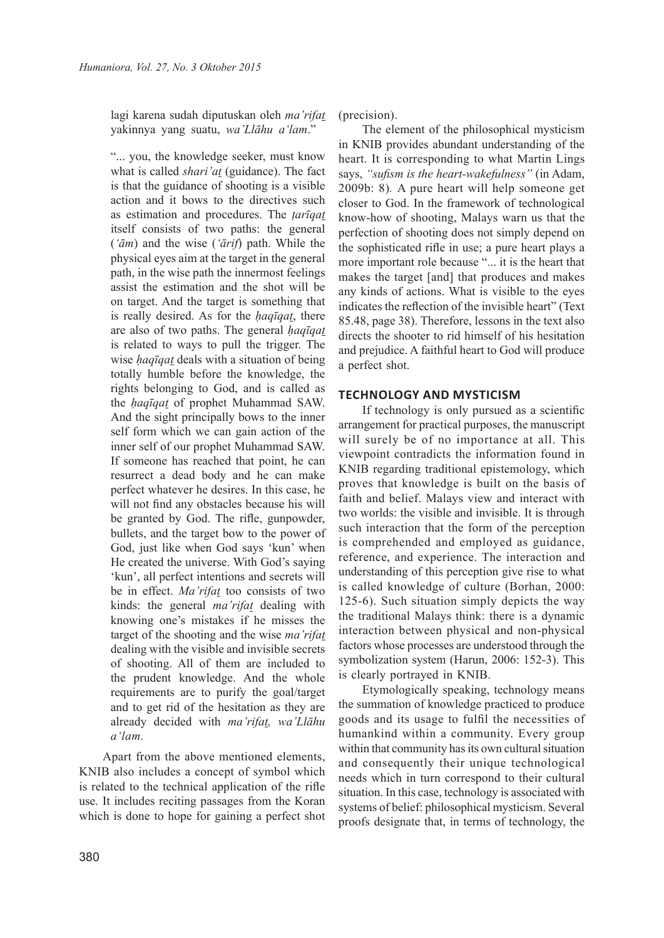lagi karena sudah diputuskan oleh *ma'rifat* yakinnya yang suatu, *wa'Llāhu a'lam*."

"... you, the knowledge seeker, must know what is called *shari'at* (guidance). The fact is that the guidance of shooting is a visible action and it bows to the directives such as estimation and procedures. The *ṭarīqat* itself consists of two paths: the general (*'ām*) and the wise (*'ārif*) path. While the physical eyes aim at the target in the general path, in the wise path the innermost feelings assist the estimation and the shot will be on target. And the target is something that is really desired. As for the *ḥaqīqat*, there are also of two paths. The general *ḥaqīqat*  is related to ways to pull the trigger. The wise *ḥaqīqat* deals with a situation of being totally humble before the knowledge, the rights belonging to God, and is called as the *ḥaqīqat* of prophet Muhammad SAW. And the sight principally bows to the inner self form which we can gain action of the inner self of our prophet Muhammad SAW. If someone has reached that point, he can resurrect a dead body and he can make perfect whatever he desires. In this case, he will not find any obstacles because his will be granted by God. The rifle, gunpowder, bullets, and the target bow to the power of God, just like when God says 'kun' when He created the universe. With God's saying 'kun', all perfect intentions and secrets will be in effect. *Ma'rifat* too consists of two kinds: the general *ma'rifat* dealing with knowing one's mistakes if he misses the target of the shooting and the wise *ma'rifat*  dealing with the visible and invisible secrets of shooting. All of them are included to the prudent knowledge. And the whole requirements are to purify the goal/target and to get rid of the hesitation as they are already decided with *ma'rifat, wa'Llāhu a'lam.*

Apart from the above mentioned elements, KNIB also includes a concept of symbol which is related to the technical application of the rifle use. It includes reciting passages from the Koran which is done to hope for gaining a perfect shot (precision).

The element of the philosophical mysticism in KNIB provides abundant understanding of the heart. It is corresponding to what Martin Lings says, *"sufism is the heart-wakefulness"* (in Adam, 2009b: 8)*.* A pure heart will help someone get closer to God. In the framework of technological know-how of shooting, Malays warn us that the perfection of shooting does not simply depend on the sophisticated rifle in use; a pure heart plays a more important role because "... it is the heart that makes the target [and] that produces and makes any kinds of actions. What is visible to the eyes indicates the reflection of the invisible heart" (Text 85.48, page 38). Therefore, lessons in the text also directs the shooter to rid himself of his hesitation and prejudice. A faithful heart to God will produce a perfect shot.

### **TECHNOLOGY AND MYSTICISM**

If technology is only pursued as a scientific arrangement for practical purposes, the manuscript will surely be of no importance at all. This viewpoint contradicts the information found in KNIB regarding traditional epistemology, which proves that knowledge is built on the basis of faith and belief. Malays view and interact with two worlds: the visible and invisible. It is through such interaction that the form of the perception is comprehended and employed as guidance, reference, and experience. The interaction and understanding of this perception give rise to what is called knowledge of culture (Borhan, 2000: 125-6). Such situation simply depicts the way the traditional Malays think: there is a dynamic interaction between physical and non-physical factors whose processes are understood through the symbolization system (Harun, 2006: 152-3). This is clearly portrayed in KNIB.

Etymologically speaking, technology means the summation of knowledge practiced to produce goods and its usage to fulfil the necessities of humankind within a community. Every group within that community has its own cultural situation and consequently their unique technological needs which in turn correspond to their cultural situation. In this case, technology is associated with systems of belief: philosophical mysticism. Several proofs designate that, in terms of technology, the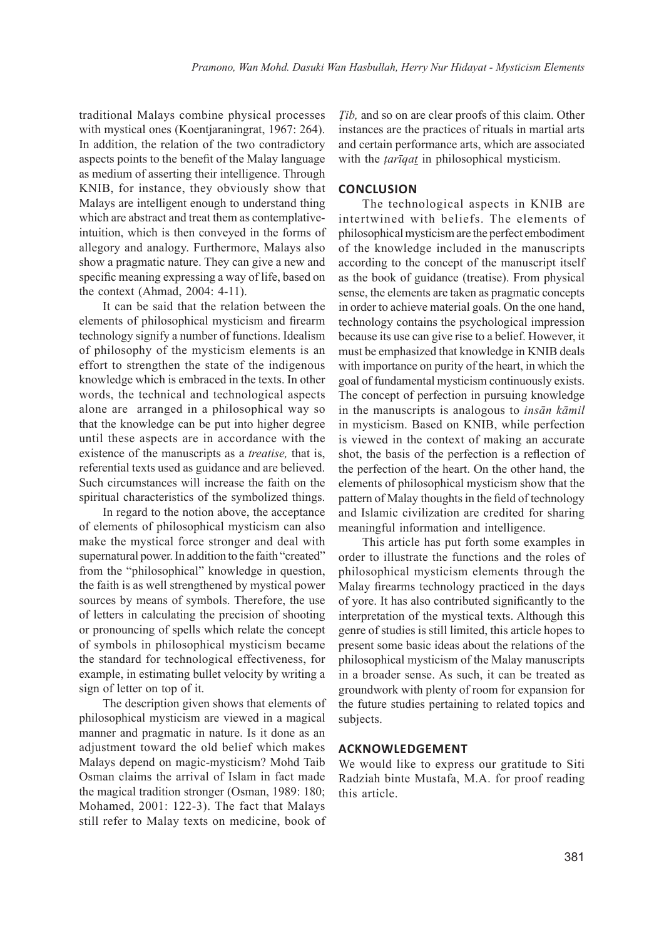traditional Malays combine physical processes with mystical ones (Koentjaraningrat, 1967: 264). In addition, the relation of the two contradictory aspects points to the benefit of the Malay language as medium of asserting their intelligence. Through KNIB, for instance, they obviously show that Malays are intelligent enough to understand thing which are abstract and treat them as contemplativeintuition, which is then conveyed in the forms of allegory and analogy. Furthermore, Malays also show a pragmatic nature. They can give a new and specific meaning expressing a way of life, based on the context (Ahmad, 2004: 4-11).

It can be said that the relation between the elements of philosophical mysticism and firearm technology signify a number of functions. Idealism of philosophy of the mysticism elements is an effort to strengthen the state of the indigenous knowledge which is embraced in the texts. In other words, the technical and technological aspects alone are arranged in a philosophical way so that the knowledge can be put into higher degree until these aspects are in accordance with the existence of the manuscripts as a *treatise,* that is, referential texts used as guidance and are believed. Such circumstances will increase the faith on the spiritual characteristics of the symbolized things.

In regard to the notion above, the acceptance of elements of philosophical mysticism can also make the mystical force stronger and deal with supernatural power. In addition to the faith "created" from the "philosophical" knowledge in question, the faith is as well strengthened by mystical power sources by means of symbols. Therefore, the use of letters in calculating the precision of shooting or pronouncing of spells which relate the concept of symbols in philosophical mysticism became the standard for technological effectiveness, for example, in estimating bullet velocity by writing a sign of letter on top of it.

The description given shows that elements of philosophical mysticism are viewed in a magical manner and pragmatic in nature. Is it done as an adjustment toward the old belief which makes Malays depend on magic-mysticism? Mohd Taib Osman claims the arrival of Islam in fact made the magical tradition stronger (Osman, 1989: 180; Mohamed, 2001: 122-3). The fact that Malays still refer to Malay texts on medicine, book of *Ṭib,* and so on are clear proofs of this claim. Other instances are the practices of rituals in martial arts and certain performance arts, which are associated with the *tariqat* in philosophical mysticism.

### **CONCLUSION**

The technological aspects in KNIB are intertwined with beliefs. The elements of philosophical mysticism are the perfect embodiment of the knowledge included in the manuscripts according to the concept of the manuscript itself as the book of guidance (treatise). From physical sense, the elements are taken as pragmatic concepts in order to achieve material goals. On the one hand, technology contains the psychological impression because its use can give rise to a belief. However, it must be emphasized that knowledge in KNIB deals with importance on purity of the heart, in which the goal of fundamental mysticism continuously exists. The concept of perfection in pursuing knowledge in the manuscripts is analogous to *insān kāmil* in mysticism. Based on KNIB, while perfection is viewed in the context of making an accurate shot, the basis of the perfection is a reflection of the perfection of the heart. On the other hand, the elements of philosophical mysticism show that the pattern of Malay thoughts in the field of technology and Islamic civilization are credited for sharing meaningful information and intelligence.

This article has put forth some examples in order to illustrate the functions and the roles of philosophical mysticism elements through the Malay firearms technology practiced in the days of yore. It has also contributed significantly to the interpretation of the mystical texts. Although this genre of studies is still limited, this article hopes to present some basic ideas about the relations of the philosophical mysticism of the Malay manuscripts in a broader sense. As such, it can be treated as groundwork with plenty of room for expansion for the future studies pertaining to related topics and subjects.

### **ACKNOWLEDGEMENT**

We would like to express our gratitude to Siti Radziah binte Mustafa, M.A. for proof reading this article.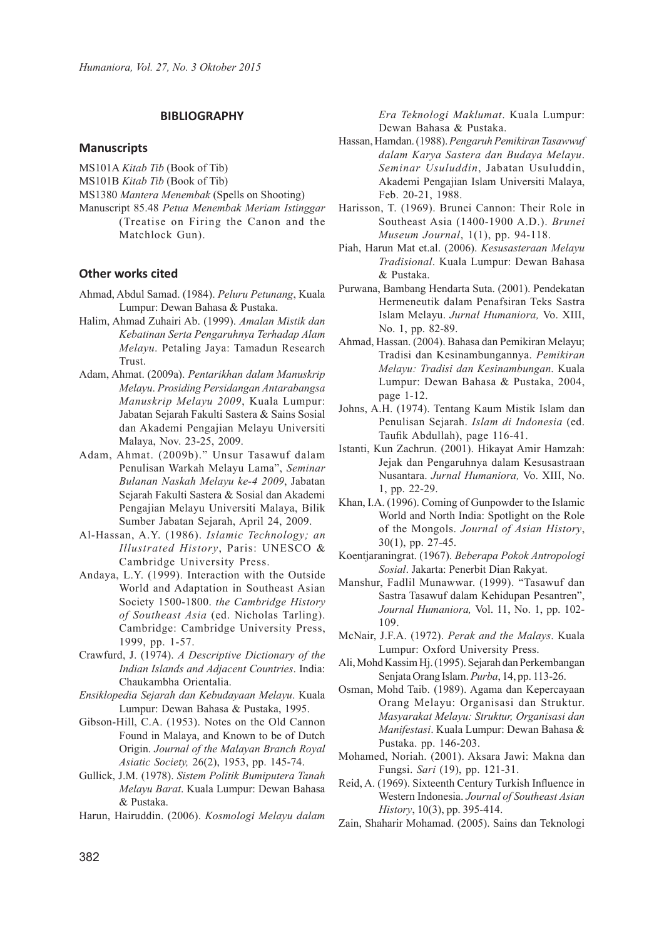### **BIBLIOGRAPHY**

#### **Manuscripts**

- MS101A *Kitab Tib* (Book of Tib)
- MS101B *Kitab Tib* (Book of Tib)

MS1380 *Mantera Menembak* (Spells on Shooting)

Manuscript 85.48 *Petua Menembak Meriam Istinggar* (Treatise on Firing the Canon and the Matchlock Gun).

#### **Other works cited**

- Ahmad, Abdul Samad. (1984). *Peluru Petunang*, Kuala Lumpur: Dewan Bahasa & Pustaka.
- Halim, Ahmad Zuhairi Ab. (1999). *Amalan Mistik dan Kebatinan Serta Pengaruhnya Terhadap Alam Melayu*. Petaling Jaya: Tamadun Research Trust.
- Adam, Ahmat. (2009a). *Pentarikhan dalam Manuskrip Melayu*. *Prosiding Persidangan Antarabangsa Manuskrip Melayu 2009*, Kuala Lumpur: Jabatan Sejarah Fakulti Sastera & Sains Sosial dan Akademi Pengajian Melayu Universiti Malaya, Nov. 23-25, 2009.
- Adam, Ahmat. (2009b)." Unsur Tasawuf dalam Penulisan Warkah Melayu Lama", *Seminar Bulanan Naskah Melayu ke-4 2009*, Jabatan Sejarah Fakulti Sastera & Sosial dan Akademi Pengajian Melayu Universiti Malaya, Bilik Sumber Jabatan Sejarah, April 24, 2009.
- Al-Hassan, A.Y. (1986). *Islamic Technology; an Illustrated History*, Paris: UNESCO & Cambridge University Press.
- Andaya, L.Y. (1999). Interaction with the Outside World and Adaptation in Southeast Asian Society 1500-1800. *the Cambridge History of Southeast Asia* (ed. Nicholas Tarling). Cambridge: Cambridge University Press, 1999, pp. 1-57.
- Crawfurd, J. (1974). *A Descriptive Dictionary of the Indian Islands and Adjacent Countries*. India: Chaukambha Orientalia.
- *Ensiklopedia Sejarah dan Kebudayaan Melayu*. Kuala Lumpur: Dewan Bahasa & Pustaka, 1995.
- Gibson-Hill, C.A. (1953). Notes on the Old Cannon Found in Malaya, and Known to be of Dutch Origin. *Journal of the Malayan Branch Royal Asiatic Society,* 26(2), 1953, pp. 145-74.
- Gullick, J.M. (1978). *Sistem Politik Bumiputera Tanah Melayu Barat*. Kuala Lumpur: Dewan Bahasa & Pustaka.
- Harun, Hairuddin. (2006). *Kosmologi Melayu dalam*

*Era Teknologi Maklumat*. Kuala Lumpur: Dewan Bahasa & Pustaka.

- Hassan, Hamdan. (1988). *Pengaruh Pemikiran Tasawwuf dalam Karya Sastera dan Budaya Melayu*. *Seminar Usuluddin*, Jabatan Usuluddin, Akademi Pengajian Islam Universiti Malaya, Feb. 20-21, 1988.
- Harisson, T. (1969). Brunei Cannon: Their Role in Southeast Asia (1400-1900 A.D.). *Brunei Museum Journal*, 1(1), pp. 94-118.
- Piah, Harun Mat et.al. (2006). *Kesusasteraan Melayu Tradisional*. Kuala Lumpur: Dewan Bahasa & Pustaka.
- Purwana, Bambang Hendarta Suta. (2001). Pendekatan Hermeneutik dalam Penafsiran Teks Sastra Islam Melayu. *Jurnal Humaniora,* Vo. XIII, No. 1, pp. 82-89.
- Ahmad, Hassan. (2004). Bahasa dan Pemikiran Melayu; Tradisi dan Kesinambungannya. *Pemikiran Melayu: Tradisi dan Kesinambungan*. Kuala Lumpur: Dewan Bahasa & Pustaka, 2004, page 1-12.
- Johns, A.H. (1974). Tentang Kaum Mistik Islam dan Penulisan Sejarah. *Islam di Indonesia* (ed. Taufik Abdullah), page 116-41.
- Istanti, Kun Zachrun. (2001). Hikayat Amir Hamzah: Jejak dan Pengaruhnya dalam Kesusastraan Nusantara. *Jurnal Humaniora,* Vo. XIII, No. 1, pp. 22-29.
- Khan, I.A. (1996). Coming of Gunpowder to the Islamic World and North India: Spotlight on the Role of the Mongols. *Journal of Asian History*, 30(1), pp. 27-45.
- Koentjaraningrat. (1967). *Beberapa Pokok Antropologi Sosial*. Jakarta: Penerbit Dian Rakyat.
- Manshur, Fadlil Munawwar. (1999). "Tasawuf dan Sastra Tasawuf dalam Kehidupan Pesantren", *Journal Humaniora,* Vol. 11, No. 1, pp. 102- 109.
- McNair, J.F.A. (1972). *Perak and the Malays*. Kuala Lumpur: Oxford University Press.
- Ali, Mohd Kassim Hj. (1995). Sejarah dan Perkembangan Senjata Orang Islam. *Purba*, 14, pp. 113-26.
- Osman, Mohd Taib. (1989). Agama dan Kepercayaan Orang Melayu: Organisasi dan Struktur. *Masyarakat Melayu: Struktur, Organisasi dan Manifestasi*. Kuala Lumpur: Dewan Bahasa & Pustaka. pp. 146-203.
- Mohamed, Noriah. (2001). Aksara Jawi: Makna dan Fungsi. *Sari* (19), pp. 121-31.
- Reid, A. (1969). Sixteenth Century Turkish Influence in Western Indonesia. *Journal of Southeast Asian History*, 10(3), pp. 395-414.
- Zain, Shaharir Mohamad. (2005). Sains dan Teknologi